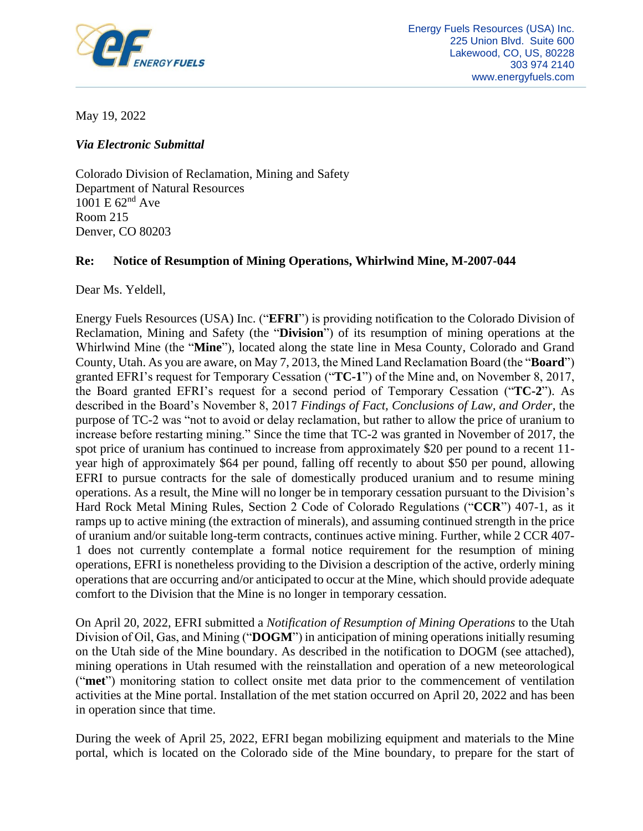

May 19, 2022

*Via Electronic Submittal*

Colorado Division of Reclamation, Mining and Safety Department of Natural Resources 1001 E 62nd Ave Room 215 Denver, CO 80203

# **Re: Notice of Resumption of Mining Operations, Whirlwind Mine, M-2007-044**

Dear Ms. Yeldell,

Energy Fuels Resources (USA) Inc. ("**EFRI**") is providing notification to the Colorado Division of Reclamation, Mining and Safety (the "**Division**") of its resumption of mining operations at the Whirlwind Mine (the "**Mine**"), located along the state line in Mesa County, Colorado and Grand County, Utah. As you are aware, on May 7, 2013, the Mined Land Reclamation Board (the "**Board**") granted EFRI's request for Temporary Cessation ("**TC-1**") of the Mine and, on November 8, 2017, the Board granted EFRI's request for a second period of Temporary Cessation ("**TC-2**"). As described in the Board's November 8, 2017 *Findings of Fact, Conclusions of Law, and Order*, the purpose of TC-2 was "not to avoid or delay reclamation, but rather to allow the price of uranium to increase before restarting mining." Since the time that TC-2 was granted in November of 2017, the spot price of uranium has continued to increase from approximately \$20 per pound to a recent 11 year high of approximately \$64 per pound, falling off recently to about \$50 per pound, allowing EFRI to pursue contracts for the sale of domestically produced uranium and to resume mining operations. As a result, the Mine will no longer be in temporary cessation pursuant to the Division's Hard Rock Metal Mining Rules, Section 2 Code of Colorado Regulations ("**CCR**") 407-1, as it ramps up to active mining (the extraction of minerals), and assuming continued strength in the price of uranium and/or suitable long-term contracts, continues active mining. Further, while 2 CCR 407- 1 does not currently contemplate a formal notice requirement for the resumption of mining operations, EFRI is nonetheless providing to the Division a description of the active, orderly mining operations that are occurring and/or anticipated to occur at the Mine, which should provide adequate comfort to the Division that the Mine is no longer in temporary cessation.

On April 20, 2022, EFRI submitted a *Notification of Resumption of Mining Operations* to the Utah Division of Oil, Gas, and Mining ("**DOGM**") in anticipation of mining operations initially resuming on the Utah side of the Mine boundary. As described in the notification to DOGM (see attached), mining operations in Utah resumed with the reinstallation and operation of a new meteorological ("**met**") monitoring station to collect onsite met data prior to the commencement of ventilation activities at the Mine portal. Installation of the met station occurred on April 20, 2022 and has been in operation since that time.

During the week of April 25, 2022, EFRI began mobilizing equipment and materials to the Mine portal, which is located on the Colorado side of the Mine boundary, to prepare for the start of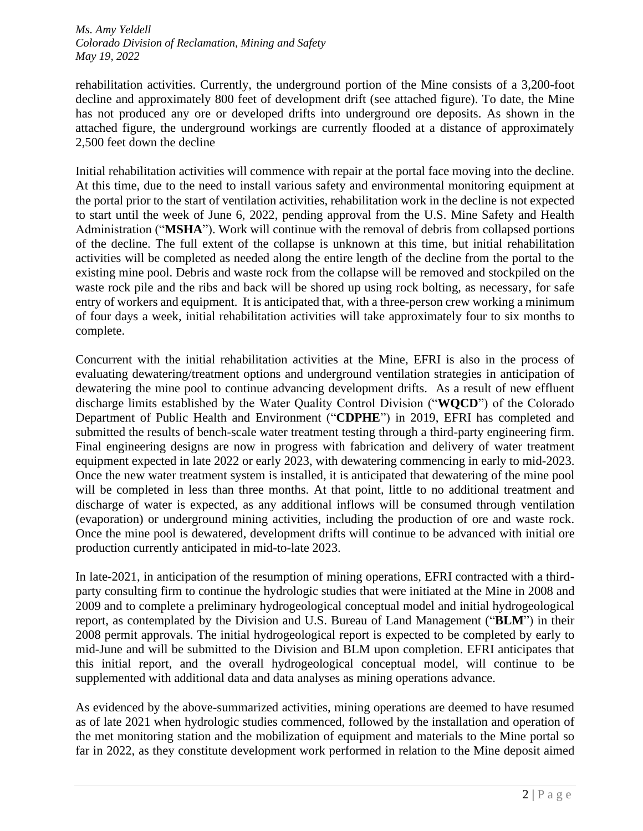## *Ms. Amy Yeldell Colorado Division of Reclamation, Mining and Safety May 19, 2022*

rehabilitation activities. Currently, the underground portion of the Mine consists of a 3,200-foot decline and approximately 800 feet of development drift (see attached figure). To date, the Mine has not produced any ore or developed drifts into underground ore deposits. As shown in the attached figure, the underground workings are currently flooded at a distance of approximately 2,500 feet down the decline

Initial rehabilitation activities will commence with repair at the portal face moving into the decline. At this time, due to the need to install various safety and environmental monitoring equipment at the portal prior to the start of ventilation activities, rehabilitation work in the decline is not expected to start until the week of June 6, 2022, pending approval from the U.S. Mine Safety and Health Administration ("**MSHA**"). Work will continue with the removal of debris from collapsed portions of the decline. The full extent of the collapse is unknown at this time, but initial rehabilitation activities will be completed as needed along the entire length of the decline from the portal to the existing mine pool. Debris and waste rock from the collapse will be removed and stockpiled on the waste rock pile and the ribs and back will be shored up using rock bolting, as necessary, for safe entry of workers and equipment. It is anticipated that, with a three-person crew working a minimum of four days a week, initial rehabilitation activities will take approximately four to six months to complete.

Concurrent with the initial rehabilitation activities at the Mine, EFRI is also in the process of evaluating dewatering/treatment options and underground ventilation strategies in anticipation of dewatering the mine pool to continue advancing development drifts. As a result of new effluent discharge limits established by the Water Quality Control Division ("**WQCD**") of the Colorado Department of Public Health and Environment ("**CDPHE**") in 2019, EFRI has completed and submitted the results of bench-scale water treatment testing through a third-party engineering firm. Final engineering designs are now in progress with fabrication and delivery of water treatment equipment expected in late 2022 or early 2023, with dewatering commencing in early to mid-2023. Once the new water treatment system is installed, it is anticipated that dewatering of the mine pool will be completed in less than three months. At that point, little to no additional treatment and discharge of water is expected, as any additional inflows will be consumed through ventilation (evaporation) or underground mining activities, including the production of ore and waste rock. Once the mine pool is dewatered, development drifts will continue to be advanced with initial ore production currently anticipated in mid-to-late 2023.

In late-2021, in anticipation of the resumption of mining operations, EFRI contracted with a thirdparty consulting firm to continue the hydrologic studies that were initiated at the Mine in 2008 and 2009 and to complete a preliminary hydrogeological conceptual model and initial hydrogeological report, as contemplated by the Division and U.S. Bureau of Land Management ("**BLM**") in their 2008 permit approvals. The initial hydrogeological report is expected to be completed by early to mid-June and will be submitted to the Division and BLM upon completion. EFRI anticipates that this initial report, and the overall hydrogeological conceptual model, will continue to be supplemented with additional data and data analyses as mining operations advance.

As evidenced by the above-summarized activities, mining operations are deemed to have resumed as of late 2021 when hydrologic studies commenced, followed by the installation and operation of the met monitoring station and the mobilization of equipment and materials to the Mine portal so far in 2022, as they constitute development work performed in relation to the Mine deposit aimed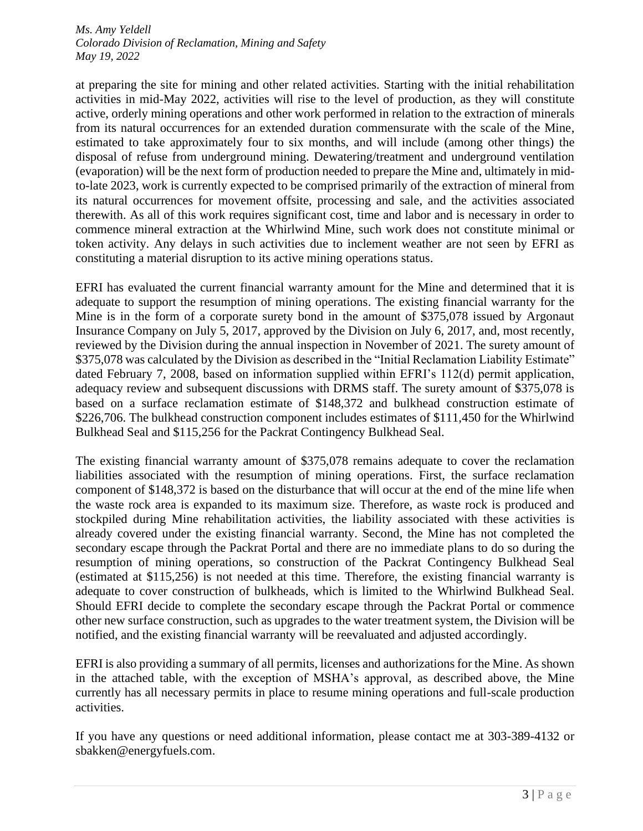## *Ms. Amy Yeldell Colorado Division of Reclamation, Mining and Safety May 19, 2022*

at preparing the site for mining and other related activities. Starting with the initial rehabilitation activities in mid-May 2022, activities will rise to the level of production, as they will constitute active, orderly mining operations and other work performed in relation to the extraction of minerals from its natural occurrences for an extended duration commensurate with the scale of the Mine, estimated to take approximately four to six months, and will include (among other things) the disposal of refuse from underground mining. Dewatering/treatment and underground ventilation (evaporation) will be the next form of production needed to prepare the Mine and, ultimately in midto-late 2023, work is currently expected to be comprised primarily of the extraction of mineral from its natural occurrences for movement offsite, processing and sale, and the activities associated therewith. As all of this work requires significant cost, time and labor and is necessary in order to commence mineral extraction at the Whirlwind Mine, such work does not constitute minimal or token activity. Any delays in such activities due to inclement weather are not seen by EFRI as constituting a material disruption to its active mining operations status.

EFRI has evaluated the current financial warranty amount for the Mine and determined that it is adequate to support the resumption of mining operations. The existing financial warranty for the Mine is in the form of a corporate surety bond in the amount of \$375,078 issued by Argonaut Insurance Company on July 5, 2017, approved by the Division on July 6, 2017, and, most recently, reviewed by the Division during the annual inspection in November of 2021. The surety amount of \$375,078 was calculated by the Division as described in the "Initial Reclamation Liability Estimate" dated February 7, 2008, based on information supplied within EFRI's 112(d) permit application, adequacy review and subsequent discussions with DRMS staff. The surety amount of \$375,078 is based on a surface reclamation estimate of \$148,372 and bulkhead construction estimate of \$226,706. The bulkhead construction component includes estimates of \$111,450 for the Whirlwind Bulkhead Seal and \$115,256 for the Packrat Contingency Bulkhead Seal.

The existing financial warranty amount of \$375,078 remains adequate to cover the reclamation liabilities associated with the resumption of mining operations. First, the surface reclamation component of \$148,372 is based on the disturbance that will occur at the end of the mine life when the waste rock area is expanded to its maximum size. Therefore, as waste rock is produced and stockpiled during Mine rehabilitation activities, the liability associated with these activities is already covered under the existing financial warranty. Second, the Mine has not completed the secondary escape through the Packrat Portal and there are no immediate plans to do so during the resumption of mining operations, so construction of the Packrat Contingency Bulkhead Seal (estimated at \$115,256) is not needed at this time. Therefore, the existing financial warranty is adequate to cover construction of bulkheads, which is limited to the Whirlwind Bulkhead Seal. Should EFRI decide to complete the secondary escape through the Packrat Portal or commence other new surface construction, such as upgrades to the water treatment system, the Division will be notified, and the existing financial warranty will be reevaluated and adjusted accordingly.

EFRI is also providing a summary of all permits, licenses and authorizations for the Mine. As shown in the attached table, with the exception of MSHA's approval, as described above, the Mine currently has all necessary permits in place to resume mining operations and full-scale production activities.

If you have any questions or need additional information, please contact me at 303-389-4132 or sbakken@energyfuels.com.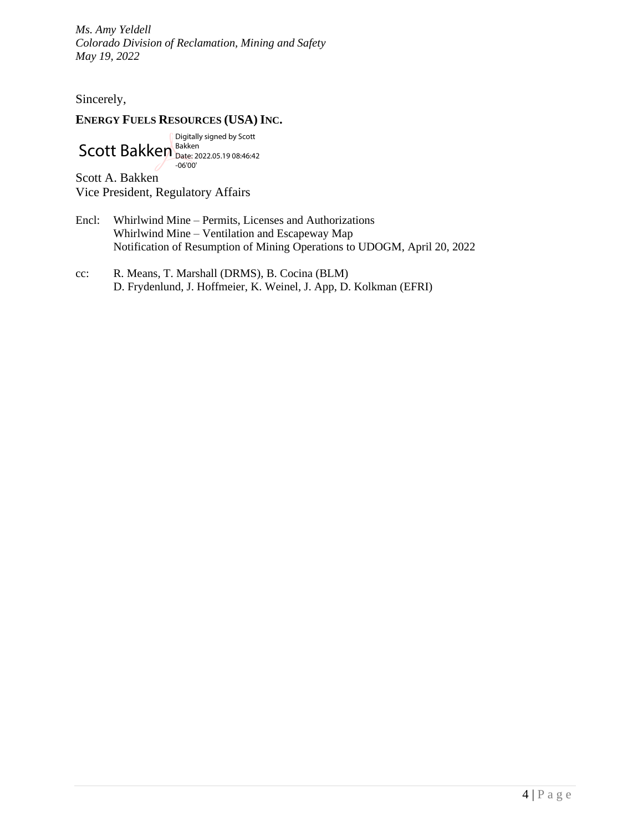*Ms. Amy Yeldell Colorado Division of Reclamation, Mining and Safety May 19, 2022*

Sincerely,

# **ENERGY FUELS RESOURCES (USA) INC.**

Scott Bakken Digitally signed by Scott Bakken Date: 2022.05.19 08:46:42 -06'00'

Scott A. Bakken Vice President, Regulatory Affairs

- Encl: Whirlwind Mine Permits, Licenses and Authorizations Whirlwind Mine – Ventilation and Escapeway Map Notification of Resumption of Mining Operations to UDOGM, April 20, 2022
- cc: R. Means, T. Marshall (DRMS), B. Cocina (BLM) D. Frydenlund, J. Hoffmeier, K. Weinel, J. App, D. Kolkman (EFRI)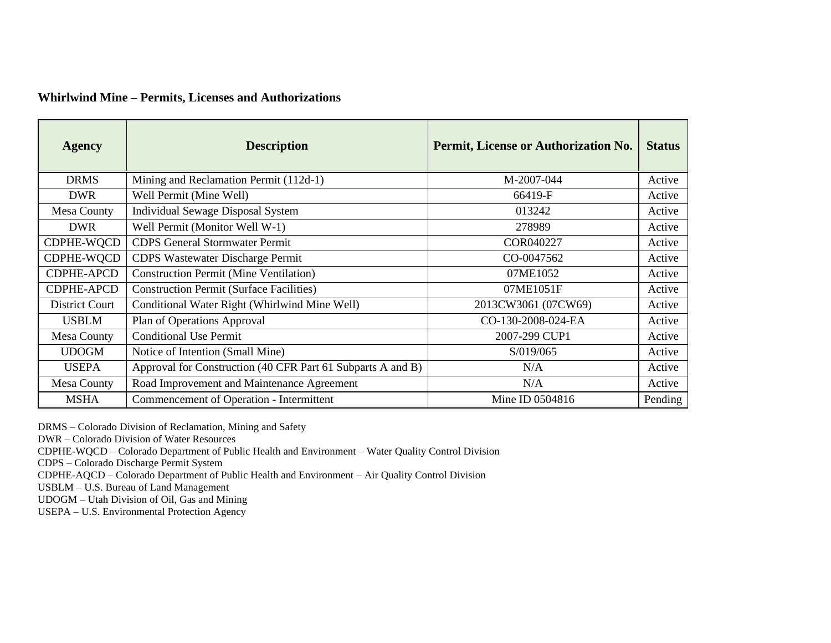## **Whirlwind Mine – Permits, Licenses and Authorizations**

| <b>Agency</b>      | <b>Description</b>                                          | Permit, License or Authorization No. | <b>Status</b> |
|--------------------|-------------------------------------------------------------|--------------------------------------|---------------|
| <b>DRMS</b>        | Mining and Reclamation Permit (112d-1)                      | M-2007-044                           | Active        |
| <b>DWR</b>         | Well Permit (Mine Well)                                     | 66419-F                              | Active        |
| <b>Mesa County</b> | <b>Individual Sewage Disposal System</b>                    | 013242                               | Active        |
| <b>DWR</b>         | Well Permit (Monitor Well W-1)                              | 278989                               | Active        |
| CDPHE-WQCD         | <b>CDPS</b> General Stormwater Permit                       | COR040227                            | Active        |
| CDPHE-WQCD         | <b>CDPS Wastewater Discharge Permit</b>                     | CO-0047562                           | Active        |
| <b>CDPHE-APCD</b>  | <b>Construction Permit (Mine Ventilation)</b>               | 07ME1052                             | Active        |
| <b>CDPHE-APCD</b>  | <b>Construction Permit (Surface Facilities)</b>             | 07ME1051F                            | Active        |
| District Court     | Conditional Water Right (Whirlwind Mine Well)               | 2013CW3061 (07CW69)                  | Active        |
| <b>USBLM</b>       | Plan of Operations Approval                                 | CO-130-2008-024-EA                   | Active        |
| <b>Mesa County</b> | <b>Conditional Use Permit</b>                               | 2007-299 CUP1                        | Active        |
| <b>UDOGM</b>       | Notice of Intention (Small Mine)                            | S/019/065                            | Active        |
| <b>USEPA</b>       | Approval for Construction (40 CFR Part 61 Subparts A and B) | N/A                                  | Active        |
| <b>Mesa County</b> | Road Improvement and Maintenance Agreement                  | N/A                                  | Active        |
| <b>MSHA</b>        | Commencement of Operation - Intermittent                    | Mine ID 0504816                      | Pending       |

DRMS – Colorado Division of Reclamation, Mining and Safety

DWR – Colorado Division of Water Resources

CDPHE-WQCD – Colorado Department of Public Health and Environment – Water Quality Control Division

CDPS – Colorado Discharge Permit System

CDPHE-AQCD – Colorado Department of Public Health and Environment – Air Quality Control Division

USBLM – U.S. Bureau of Land Management

UDOGM – Utah Division of Oil, Gas and Mining

USEPA – U.S. Environmental Protection Agency